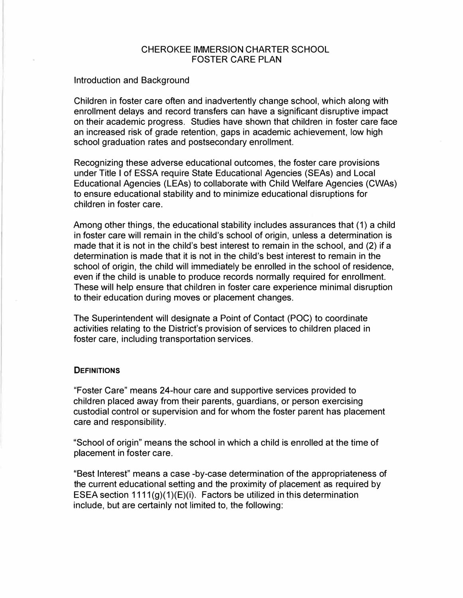#### CHEROKEE IMMERSION CHARTER SCHOOL FOSTER CARE PLAN

#### Introduction and Background

Children in foster care often and inadvertently change school, which along with enrollment delays and record transfers can have a significant disruptive impact on their academic progress. Studies have shown that children in foster care face an increased risk of grade retention, gaps in academic achievement, low high school graduation rates and postsecondary enrollment.

Recognizing these adverse educational outcomes, the foster care provisions under Title I of ESSA require State Educational Agencies (SEAs) and Local Educational Agencies (LEAs) to collaborate with Child Welfare Agencies (CWAs) to ensure educational stability and to minimize educational disruptions for children in foster care.

Among other things, the educational stability includes assurances that (1) a child in foster care will remain in the child's school of origin, unless a determination is made that it is not in the child's best interest to remain in the school, and (2) if a determination is made that it is not in the child's best interest to remain in the school of origin, the child will immediately be enrolled in the school of residence, even if the child is unable to produce records normally required for enrollment. These will help ensure that children in foster care experience minimal disruption to their education during moves or placement changes.

The Superintendent will designate a Point of Contact (POC) to coordinate activities relating to the District's provision of services to children placed in foster care, including transportation services.

#### **DEFINITIONS**

"Foster Care" means 24-hour care and supportive services provided to children placed away from their parents, guardians, or person exercising custodial control or supervision and for whom the foster parent has placement care and responsibility.

"School of origin" means the school in which a child is enrolled at the time of placement in foster care.

"Best Interest" means a case -by-case determination of the appropriateness of the current educational setting and the proximity of placement as required by ESEA section 1111(g)(1)(E)(i). Factors be utilized in this determination include, but are certainly not limited to, the following: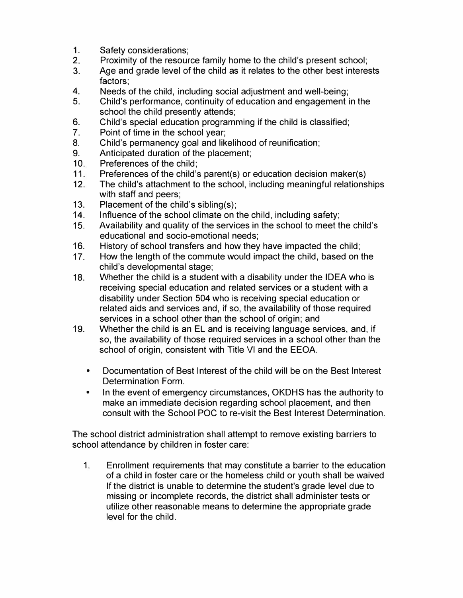- 1. Safety considerations;<br>2. Proximity of the resour
- 2. Proximity of the resource family home to the child's present school;<br>3. Age and grade level of the child as it relates to the other best interea
- Age and grade level of the child as it relates to the other best interests factors;
- 4. Needs of the child, including social adjustment and well-being;<br>5. Child's performance, continuity of education and engagement i
- 5. Child's performance, continuity of education and engagement in the school the child presently attends;
- 6. Child's special education programming if the child is classified;<br>7. Point of time in the school year:
- 7. Point of time in the school year;<br>8. Child's permanency goal and lik
- 8. Child's permanency goal and likelihood of reunification;<br>9. Anticipated duration of the placement:
- 9. Anticipated duration of the placement;<br>10. Preferences of the child:
- Preferences of the child:
- 11. Preferences of the child's parent(s) or education decision maker(s)<br>12. The child's attachment to the school. including meaningful relations
- The child's attachment to the school, including meaningful relationships with staff and peers;
- 13. Placement of the child's sibling(s);
- 14. Influence of the school climate on the child, including safety;<br>15. Availability and quality of the services in the school to meet to
- Availability and quality of the services in the school to meet the child's educational and socio-emotional needs;
- 16. History of school transfers and how they have impacted the child;<br>17. How the length of the commute would impact the child, based on t
- How the length of the commute would impact the child, based on the child's developmental stage;
- 18. Whether the child is a student with a disability under the IDEA who is receiving special education and related services or a student with a disability under Section 504 who is receiving special education or related aids and services and, if so, the availability of those required services in a school other than the school of origin; and
- 19. Whether the child is an EL and is receiving language services, and, if so, the availability of those required services in a school other than the school of origin, consistent with Title VI and the EEOA.
	- Documentation of Best Interest of the child will be on the Best Interest Determination Form.
	- In the event of emergency circumstances, OKDHS has the authority to make an immediate decision regarding school placement, and then consult with the School POC to re-visit the Best Interest Determination.

The school district administration shall attempt to remove existing barriers to school attendance by children in foster care:

1. Enrollment requirements that may constitute a barrier to the education of a child in foster care or the homeless child or youth shall be waived If the district is unable to determine the student's grade level due to missing or incomplete records, the district shall administer tests or utilize other reasonable means to determine the appropriate grade level for the child.